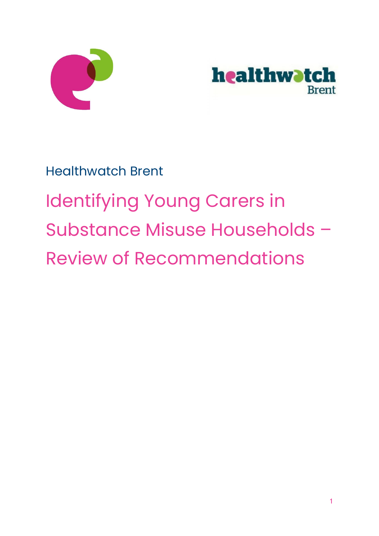



Healthwatch Brent

# Identifying Young Carers in Substance Misuse Households – Review of Recommendations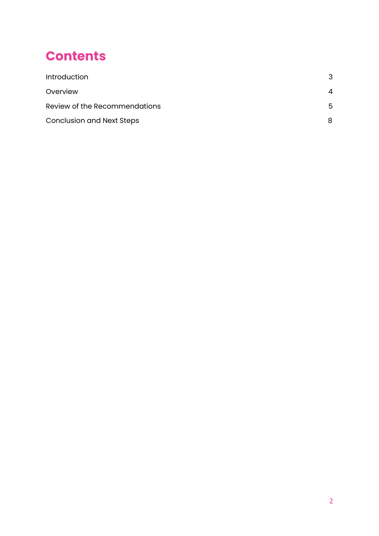## **Contents**

| <b>Introduction</b>              | 3 |
|----------------------------------|---|
| Overview                         | Δ |
| Review of the Recommendations    | 5 |
| <b>Conclusion and Next Steps</b> | 8 |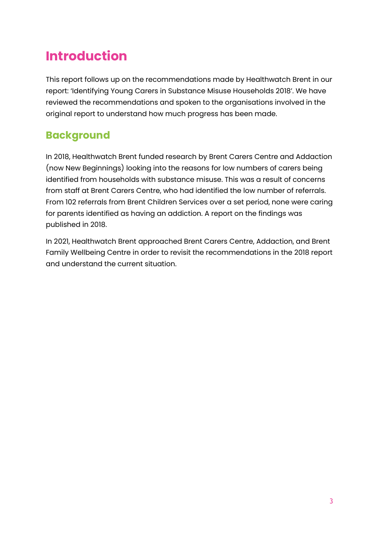# <span id="page-2-0"></span>**Introduction**

This report follows up on the recommendations made by Healthwatch Brent in our report: 'Identifying Young Carers in Substance Misuse Households 2018'. We have reviewed the recommendations and spoken to the organisations involved in the original report to understand how much progress has been made.

#### **Background**

In 2018, Healthwatch Brent funded research by Brent Carers Centre and Addaction (now New Beginnings) looking into the reasons for low numbers of carers being identified from households with substance misuse. This was a result of concerns from staff at Brent Carers Centre, who had identified the low number of referrals. From 102 referrals from Brent Children Services over a set period, none were caring for parents identified as having an addiction. A report on the findings was published in 2018.

In 2021, Healthwatch Brent approached Brent Carers Centre, Addaction, and Brent Family Wellbeing Centre in order to revisit the recommendations in the 2018 report and understand the current situation.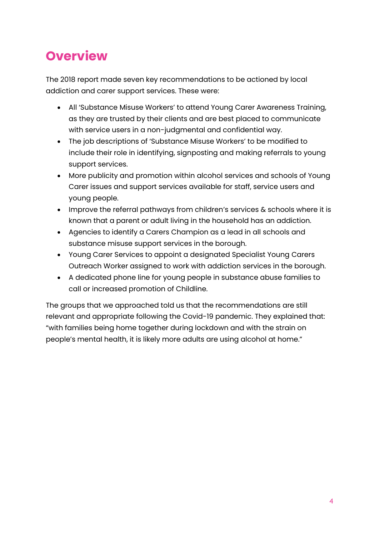## <span id="page-3-0"></span>**Overview**

The 2018 report made seven key recommendations to be actioned by local addiction and carer support services. These were:

- All 'Substance Misuse Workers' to attend Young Carer Awareness Training, as they are trusted by their clients and are best placed to communicate with service users in a non-judgmental and confidential way.
- The job descriptions of 'Substance Misuse Workers' to be modified to include their role in identifying, signposting and making referrals to young support services.
- More publicity and promotion within alcohol services and schools of Young Carer issues and support services available for staff, service users and young people.
- Improve the referral pathways from children's services & schools where it is known that a parent or adult living in the household has an addiction.
- Agencies to identify a Carers Champion as a lead in all schools and substance misuse support services in the borough.
- Young Carer Services to appoint a designated Specialist Young Carers Outreach Worker assigned to work with addiction services in the borough.
- A dedicated phone line for young people in substance abuse families to call or increased promotion of Childline.

The groups that we approached told us that the recommendations are still relevant and appropriate following the Covid-19 pandemic. They explained that: "with families being home together during lockdown and with the strain on people's mental health, it is likely more adults are using alcohol at home."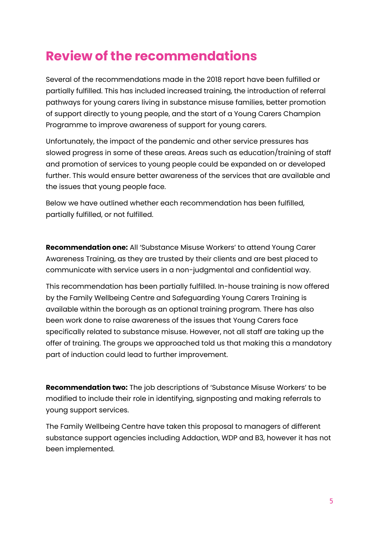## **Review of the recommendations**

Several of the recommendations made in the 2018 report have been fulfilled or partially fulfilled. This has included increased training, the introduction of referral pathways for young carers living in substance misuse families, better promotion of support directly to young people, and the start of a Young Carers Champion Programme to improve awareness of support for young carers.

Unfortunately, the impact of the pandemic and other service pressures has slowed progress in some of these areas. Areas such as education/training of staff and promotion of services to young people could be expanded on or developed further. This would ensure better awareness of the services that are available and the issues that young people face.

Below we have outlined whether each recommendation has been fulfilled, partially fulfilled, or not fulfilled.

**Recommendation one:** All 'Substance Misuse Workers' to attend Young Carer Awareness Training, as they are trusted by their clients and are best placed to communicate with service users in a non-judgmental and confidential way.

This recommendation has been partially fulfilled. In-house training is now offered by the Family Wellbeing Centre and Safeguarding Young Carers Training is available within the borough as an optional training program. There has also been work done to raise awareness of the issues that Young Carers face specifically related to substance misuse. However, not all staff are taking up the offer of training. The groups we approached told us that making this a mandatory part of induction could lead to further improvement.

**Recommendation two:** The job descriptions of 'Substance Misuse Workers' to be modified to include their role in identifying, signposting and making referrals to young support services.

The Family Wellbeing Centre have taken this proposal to managers of different substance support agencies including Addaction, WDP and B3, however it has not been implemented.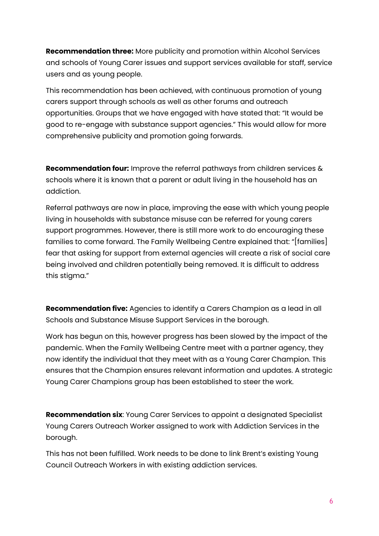**Recommendation three:** More publicity and promotion within Alcohol Services and schools of Young Carer issues and support services available for staff, service users and as young people.

This recommendation has been achieved, with continuous promotion of young carers support through schools as well as other forums and outreach opportunities. Groups that we have engaged with have stated that: "It would be good to re-engage with substance support agencies." This would allow for more comprehensive publicity and promotion going forwards.

**Recommendation four:** Improve the referral pathways from children services & schools where it is known that a parent or adult living in the household has an addiction.

Referral pathways are now in place, improving the ease with which young people living in households with substance misuse can be referred for young carers support programmes. However, there is still more work to do encouraging these families to come forward. The Family Wellbeing Centre explained that: "[families] fear that asking for support from external agencies will create a risk of social care being involved and children potentially being removed. It is difficult to address this stigma."

**Recommendation five:** Agencies to identify a Carers Champion as a lead in all Schools and Substance Misuse Support Services in the borough.

Work has begun on this, however progress has been slowed by the impact of the pandemic. When the Family Wellbeing Centre meet with a partner agency, they now identify the individual that they meet with as a Young Carer Champion. This ensures that the Champion ensures relevant information and updates. A strategic Young Carer Champions group has been established to steer the work.

**Recommendation six**: Young Carer Services to appoint a designated Specialist Young Carers Outreach Worker assigned to work with Addiction Services in the borough.

This has not been fulfilled. Work needs to be done to link Brent's existing Young Council Outreach Workers in with existing addiction services.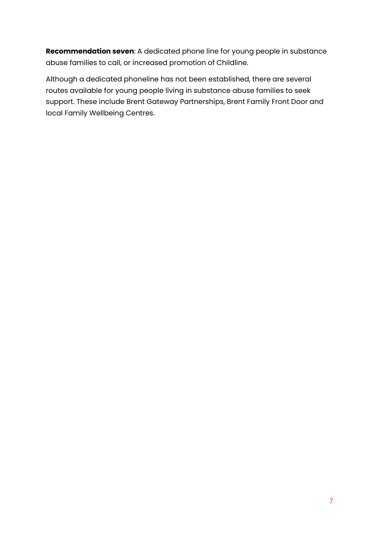**Recommendation seven**: A dedicated phone line for young people in substance abuse families to call, or increased promotion of Childline.

Although a dedicated phoneline has not been established, there are several routes available for young people living in substance abuse families to seek support. These include Brent Gateway Partnerships, Brent Family Front Door and local Family Wellbeing Centres.